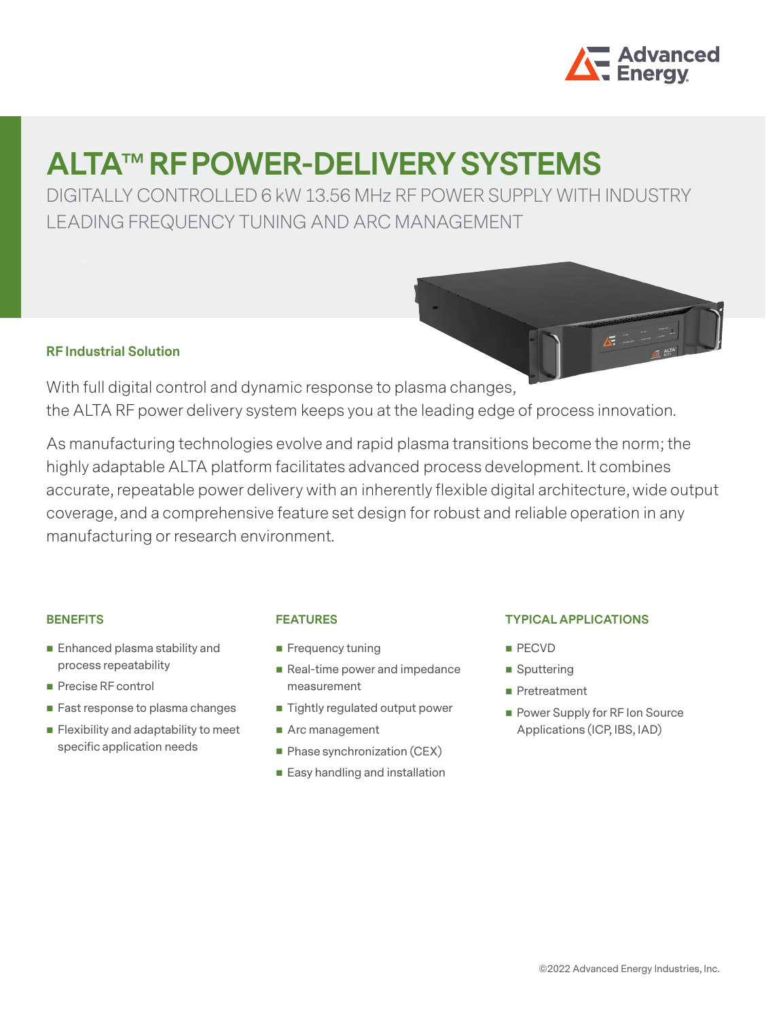

# **ALTA™ RF POWER-DELIVERY SYSTEMS**

DIGITALLY CONTROLLED 6 kW 13.56 MHz RF POWER SUPPLY WITH INDUSTRY LEADING FREQUENCY TUNING AND ARC MANAGEMENT



With full digital control and dynamic response to plasma changes, the ALTA RF power delivery system keeps you at the leading edge of process innovation.

As manufacturing technologies evolve and rapid plasma transitions become the norm; the highly adaptable ALTA platform facilitates advanced process development. It combines accurate, repeatable power delivery with an inherently flexible digital architecture, wide output coverage, and a comprehensive feature set design for robust and reliable operation in any manufacturing or research environment.

### **BENEFITS**

- Enhanced plasma stability and process repeatability
- Precise RF control
- Fast response to plasma changes
- **Flexibility and adaptability to meet** specific application needs

## **FEATURES**

- **Frequency tuning**
- Real-time power and impedance measurement
- Tightly regulated output power
- Arc management
- **Phase synchronization (CEX)**
- Easy handling and installation

### **TYPICAL APPLICATIONS**

- **PECVD**
- Sputtering
- **Pretreatment**
- **Power Supply for RF Ion Source** Applications (ICP, IBS, IAD)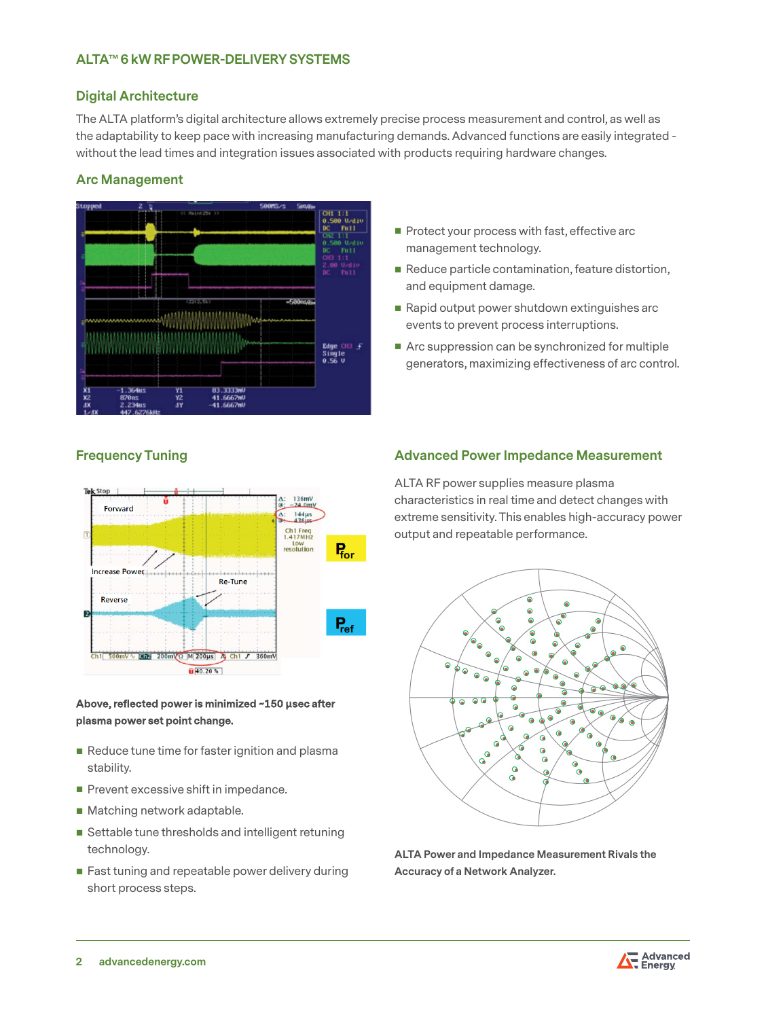## **ALTA™ 6 kW RF POWER-DELIVERY SYSTEMS**

### **Digital Architecture**

The ALTA platform's digital architecture allows extremely precise process measurement and control, as well as the adaptability to keep pace with increasing manufacturing demands. Advanced functions are easily integrated without the lead times and integration issues associated with products requiring hardware changes.

### **Arc Management**



- Protect your process with fast, effective arc management technology.
- Reduce particle contamination, feature distortion, and equipment damage.
- Rapid output power shutdown extinguishes arc events to prevent process interruptions.
- Arc suppression can be synchronized for multiple generators, maximizing effectiveness of arc control.



### **Above, reflected power is minimized ~150 µsec after plasma power set point change.**

- Reduce tune time for faster ignition and plasma stability.
- $\blacksquare$  Prevent excessive shift in impedance.
- Matching network adaptable.
- Settable tune thresholds and intelligent retuning technology.
- **Fast tuning and repeatable power delivery during** short process steps.

## **Frequency Tuning Advanced Power Impedance Measurement**

ALTA RF power supplies measure plasma characteristics in real time and detect changes with extreme sensitivity. This enables high-accuracy power output and repeatable performance.



**ALTA Power and Impedance Measurement Rivals the Accuracy of a Network Analyzer.**

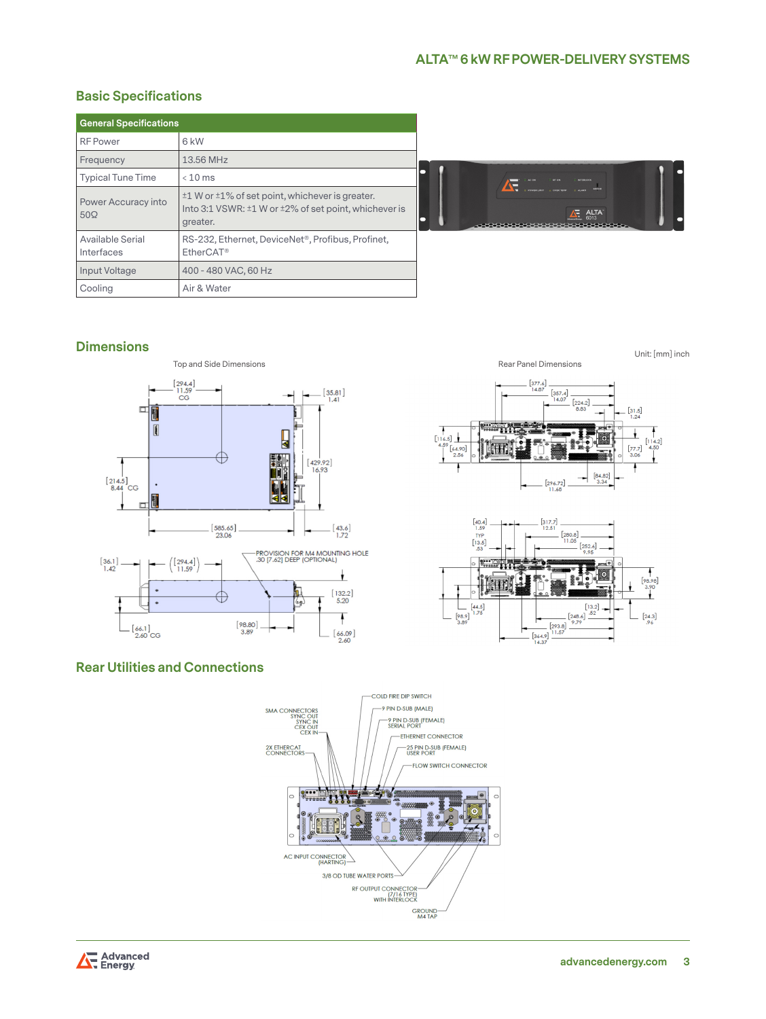# **Basic Specifications**

| <b>General Specifications</b>     |                                                                                                                                 |
|-----------------------------------|---------------------------------------------------------------------------------------------------------------------------------|
| <b>RF</b> Power                   | 6 kW                                                                                                                            |
| Frequency                         | 13.56 MHz                                                                                                                       |
| <b>Typical Tune Time</b>          | $< 10$ ms                                                                                                                       |
| Power Accuracy into<br>$50\Omega$ | $\pm 1$ W or $\pm 1\%$ of set point, whichever is greater.<br>Into 3:1 VSWR: ±1 W or ±2% of set point, whichever is<br>greater. |
| Available Serial<br>Interfaces    | RS-232, Ethernet, DeviceNet <sup>®</sup> , Profibus, Profinet,<br>EtherCAT <sup>®</sup>                                         |
| Input Voltage                     | 400 - 480 VAC, 60 Hz                                                                                                            |
| Cooling                           | Air & Water                                                                                                                     |



# **Dimensions**



Unit: [mm] inch





# **Rear Utilities and Connections**